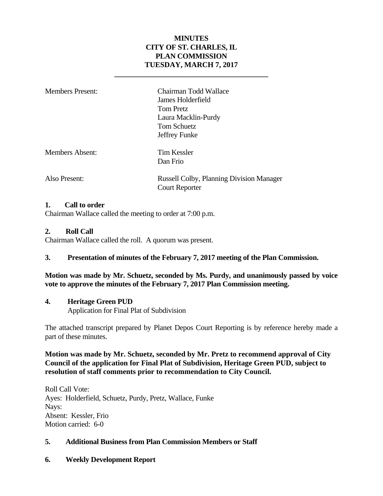### **MINUTES CITY OF ST. CHARLES, IL PLAN COMMISSION TUESDAY, MARCH 7, 2017**

**\_\_\_\_\_\_\_\_\_\_\_\_\_\_\_\_\_\_\_\_\_\_\_\_\_\_\_\_\_\_\_\_\_\_\_\_\_\_\_\_\_** 

| <b>Members Present:</b> | Chairman Todd Wallace<br>James Holderfield<br>Tom Pretz<br>Laura Macklin-Purdy<br>Tom Schuetz<br>Jeffrey Funke |
|-------------------------|----------------------------------------------------------------------------------------------------------------|
| <b>Members Absent:</b>  | Tim Kessler<br>Dan Frio                                                                                        |
| Also Present:           | <b>Russell Colby, Planning Division Manager</b><br><b>Court Reporter</b>                                       |

#### **1. Call to order**

Chairman Wallace called the meeting to order at 7:00 p.m.

#### **2. Roll Call**

Chairman Wallace called the roll. A quorum was present.

#### **3. Presentation of minutes of the February 7, 2017 meeting of the Plan Commission.**

### **Motion was made by Mr. Schuetz, seconded by Ms. Purdy, and unanimously passed by voice vote to approve the minutes of the February 7, 2017 Plan Commission meeting.**

#### **4. Heritage Green PUD**

Application for Final Plat of Subdivision

The attached transcript prepared by Planet Depos Court Reporting is by reference hereby made a part of these minutes.

### **Motion was made by Mr. Schuetz, seconded by Mr. Pretz to recommend approval of City Council of the application for Final Plat of Subdivision, Heritage Green PUD, subject to resolution of staff comments prior to recommendation to City Council.**

Roll Call Vote: Ayes: Holderfield, Schuetz, Purdy, Pretz, Wallace, Funke Nays: Absent: Kessler, Frio Motion carried: 6-0

#### **5. Additional Business from Plan Commission Members or Staff**

**6. Weekly Development Report**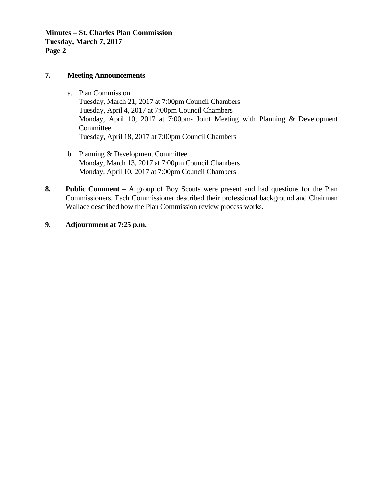**Minutes – St. Charles Plan Commission Tuesday, March 7, 2017 Page 2** 

#### **7. Meeting Announcements**

- a. Plan Commission Tuesday, March 21, 2017 at 7:00pm Council Chambers Tuesday, April 4, 2017 at 7:00pm Council Chambers Monday, April 10, 2017 at 7:00pm- Joint Meeting with Planning & Development **Committee** Tuesday, April 18, 2017 at 7:00pm Council Chambers
- b. Planning & Development Committee Monday, March 13, 2017 at 7:00pm Council Chambers Monday, April 10, 2017 at 7:00pm Council Chambers
- **8. Public Comment** A group of Boy Scouts were present and had questions for the Plan Commissioners. Each Commissioner described their professional background and Chairman Wallace described how the Plan Commission review process works.

### **9. Adjournment at 7:25 p.m.**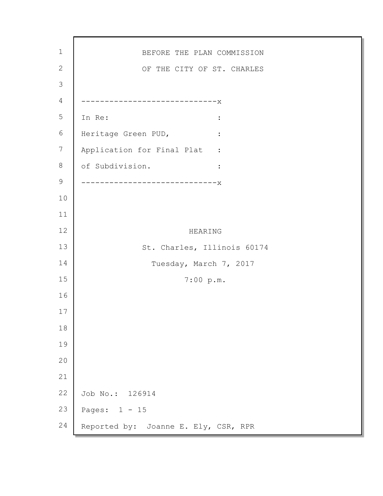BEFORE THE PLAN COMMISSION OF THE CITY OF ST. CHARLES -----------------------------x In Re:  $\qquad \qquad :$ Heritage Green PUD, : Application for Final Plat : of Subdivision. : -----------------------x HEARING St. Charles, Illinois 60174 Tuesday, March 7, 2017 7:00 p.m. Job No.: 126914 Pages: 1 - 15 Reported by: Joanne E. Ely, CSR, RPR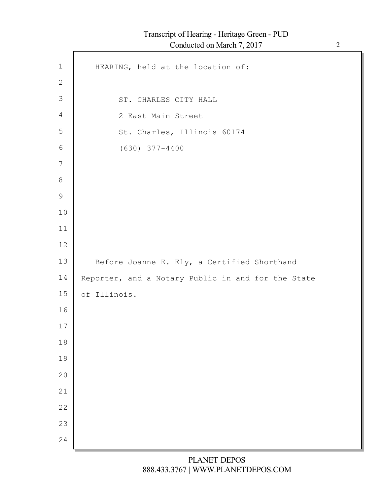| $\mathbf{1}$   | HEARING, held at the location of:                  |
|----------------|----------------------------------------------------|
| $\mathbf{2}$   |                                                    |
| $\mathfrak{Z}$ | ST. CHARLES CITY HALL                              |
| $\overline{4}$ | 2 East Main Street                                 |
| 5              | St. Charles, Illinois 60174                        |
| $6\,$          | $(630)$ 377-4400                                   |
| 7              |                                                    |
| $\,8\,$        |                                                    |
| $\mathsf 9$    |                                                    |
| 10             |                                                    |
| 11             |                                                    |
| 12             |                                                    |
| 13             | Before Joanne E. Ely, a Certified Shorthand        |
| 14             | Reporter, and a Notary Public in and for the State |
| 15             | of Illinois.                                       |
| 16             |                                                    |
| 17             |                                                    |
| 18             |                                                    |
| 19             |                                                    |
| 20             |                                                    |
| 21             |                                                    |
| 22             |                                                    |
| 23             |                                                    |
|                |                                                    |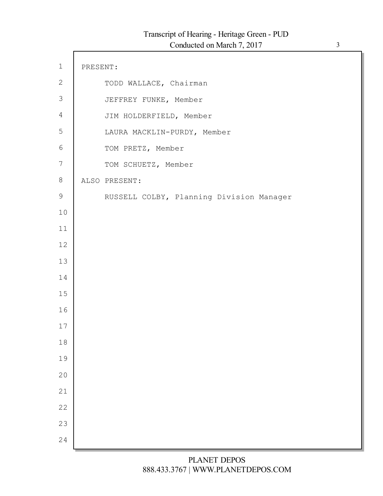| $\mathbf 1$    | PRESENT: |                                          |
|----------------|----------|------------------------------------------|
| $\mathbf{2}$   |          | TODD WALLACE, Chairman                   |
| $\mathfrak{Z}$ |          | JEFFREY FUNKE, Member                    |
| $\overline{4}$ |          | JIM HOLDERFIELD, Member                  |
| 5              |          | LAURA MACKLIN-PURDY, Member              |
| $\sqrt{6}$     |          | TOM PRETZ, Member                        |
| 7              |          | TOM SCHUETZ, Member                      |
| $8\,$          |          | ALSO PRESENT:                            |
| 9              |          | RUSSELL COLBY, Planning Division Manager |
| 10             |          |                                          |
| 11             |          |                                          |
| 12             |          |                                          |
| 13             |          |                                          |
| 14             |          |                                          |
| 15             |          |                                          |
| 16             |          |                                          |
| 17             |          |                                          |
| 18             |          |                                          |
| 19             |          |                                          |
| 20             |          |                                          |
| 21             |          |                                          |
| 22             |          |                                          |
| 23             |          |                                          |
| 24             |          |                                          |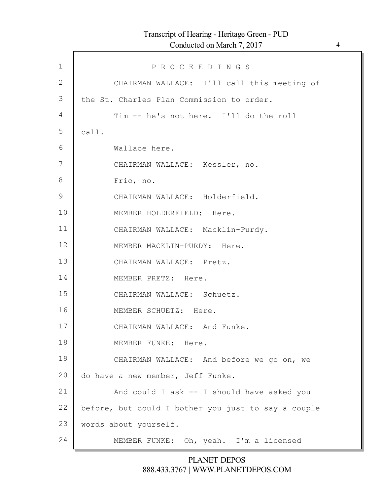| $\mathbf{1}$  | PROCEEDINGS                                         |
|---------------|-----------------------------------------------------|
| $\mathbf{2}$  | CHAIRMAN WALLACE: I'll call this meeting of         |
| 3             | the St. Charles Plan Commission to order.           |
| 4             | Tim -- he's not here. I'll do the roll              |
| 5             | call.                                               |
| 6             | Wallace here.                                       |
| 7             | CHAIRMAN WALLACE: Kessler, no.                      |
| 8             | Frio, no.                                           |
| $\mathcal{G}$ | CHAIRMAN WALLACE: Holderfield.                      |
| 10            | MEMBER HOLDERFIELD: Here.                           |
| 11            | CHAIRMAN WALLACE: Macklin-Purdy.                    |
| 12            | MEMBER MACKLIN-PURDY: Here.                         |
| 13            | CHAIRMAN WALLACE: Pretz.                            |
| 14            | MEMBER PRETZ: Here.                                 |
| 15            | CHAIRMAN WALLACE: Schuetz.                          |
| 16            | MEMBER SCHUETZ: Here.                               |
| 17            | CHAIRMAN WALLACE: And Funke.                        |
| 18            | MEMBER FUNKE: Here.                                 |
| 19            | CHAIRMAN WALLACE: And before we go on, we           |
| 20            | do have a new member, Jeff Funke.                   |
| 21            | And could I ask -- I should have asked you          |
| 22            | before, but could I bother you just to say a couple |
| 23            | words about yourself.                               |
| 24            | MEMBER FUNKE: Oh, yeah. I'm a licensed              |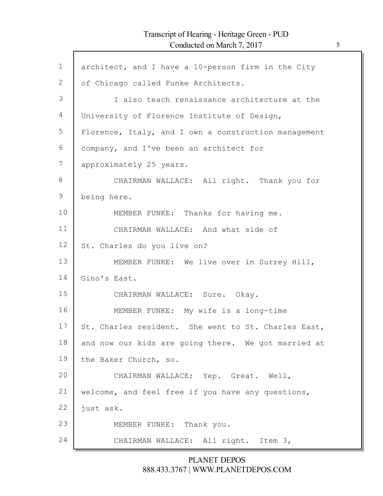Г

| architect, and I have a 10-person firm in the City   |
|------------------------------------------------------|
| of Chicago called Funke Architects.                  |
| I also teach renaissance architecture at the         |
| University of Florence Institute of Design,          |
| Florence, Italy, and I own a construction management |
| company, and I've been an architect for              |
| approximately 25 years.                              |
| CHAIRMAN WALLACE: All right. Thank you for           |
| being here.                                          |
| MEMBER FUNKE: Thanks for having me.                  |
| CHAIRMAN WALLACE: And what side of                   |
| St. Charles do you live on?                          |
| MEMBER FUNKE: We live over in Surrey Hill,           |
| Gino's East.                                         |
| CHAIRMAN WALLACE: Sure. Okay.                        |
| MEMBER FUNKE: My wife is a long-time                 |
| St. Charles resident. She went to St. Charles East,  |
| and now our kids are going there. We got married at  |
| the Baker Church, so.                                |
| CHAIRMAN WALLACE: Yep. Great. Well,                  |
| welcome, and feel free if you have any questions,    |
| just ask.                                            |
| MEMBER FUNKE: Thank you.                             |
| CHAIRMAN WALLACE: All right. Item 3,                 |
|                                                      |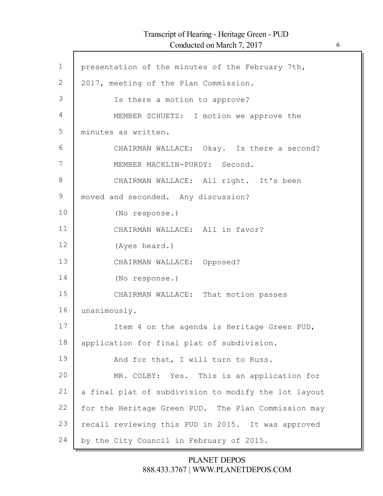$\Gamma$ 

| $\mathbf{1}$ | presentation of the minutes of the February 7th,     |
|--------------|------------------------------------------------------|
| $\mathbf{2}$ | 2017, meeting of the Plan Commission.                |
| 3            | Is there a motion to approve?                        |
| 4            | MEMBER SCHUETZ: I motion we approve the              |
| 5            | minutes as written.                                  |
| 6            | CHAIRMAN WALLACE: Okay. Is there a second?           |
| 7            | MEMBER MACKLIN-PURDY: Second.                        |
| 8            | CHAIRMAN WALLACE: All right. It's been               |
| $\mathsf 9$  | moved and seconded. Any discussion?                  |
| 10           | (No response.)                                       |
| 11           | CHAIRMAN WALLACE: All in favor?                      |
| 12           | (Ayes heard.)                                        |
| 13           | CHAIRMAN WALLACE: Opposed?                           |
| 14           | (No response.)                                       |
| 15           | CHAIRMAN WALLACE: That motion passes                 |
| 16           | unanimously.                                         |
| 17           | Item 4 on the agenda is Heritage Green PUD,          |
| 18           | application for final plat of subdivision.           |
| 19           | And for that, I will turn to Russ.                   |
| 20           | MR. COLBY: Yes. This is an application for           |
| 21           | a final plat of subdivision to modify the lot layout |
| 22           | for the Heritage Green PUD. The Plan Commission may  |
| 23           | recall reviewing this PUD in 2015. It was approved   |
| 24           | by the City Council in February of 2015.             |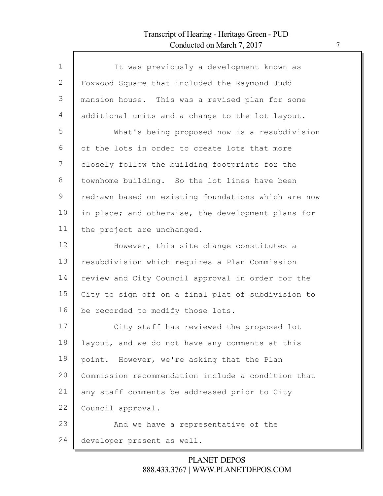Г

| $\mathbf{1}$ | It was previously a development known as            |
|--------------|-----------------------------------------------------|
| 2            | Foxwood Square that included the Raymond Judd       |
| 3            | mansion house. This was a revised plan for some     |
| 4            | additional units and a change to the lot layout.    |
| 5            | What's being proposed now is a resubdivision        |
| 6            | of the lots in order to create lots that more       |
| 7            | closely follow the building footprints for the      |
| 8            | townhome building. So the lot lines have been       |
| 9            | redrawn based on existing foundations which are now |
| 10           | in place; and otherwise, the development plans for  |
| 11           | the project are unchanged.                          |
| 12           | However, this site change constitutes a             |
| 13           | resubdivision which requires a Plan Commission      |
| 14           | review and City Council approval in order for the   |
| 15           | City to sign off on a final plat of subdivision to  |
| 16           | be recorded to modify those lots.                   |
| 17           | City staff has reviewed the proposed lot            |
| 18           | layout, and we do not have any comments at this     |
| 19           | point. However, we're asking that the Plan          |
| 20           | Commission recommendation include a condition that  |
| 21           | any staff comments be addressed prior to City       |
| 22           | Council approval.                                   |
| 23           | And we have a representative of the                 |
| 24           | developer present as well.                          |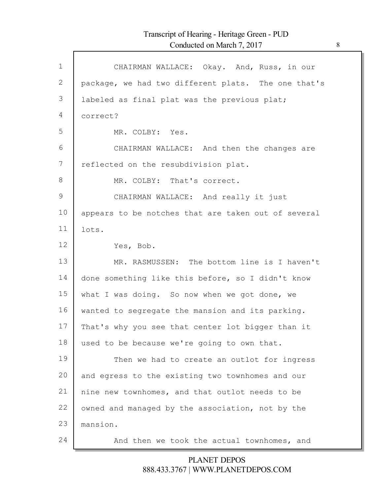| $\mathbf{1}$ | CHAIRMAN WALLACE: Okay. And, Russ, in our           |
|--------------|-----------------------------------------------------|
| 2            | package, we had two different plats. The one that's |
| 3            | labeled as final plat was the previous plat;        |
| 4            | correct?                                            |
| 5            | MR. COLBY: Yes.                                     |
| 6            | CHAIRMAN WALLACE: And then the changes are          |
| 7            | reflected on the resubdivision plat.                |
| 8            | MR. COLBY: That's correct.                          |
| 9            | CHAIRMAN WALLACE: And really it just                |
| 10           | appears to be notches that are taken out of several |
| 11           |                                                     |
|              | lots.                                               |
| 12           | Yes, Bob.                                           |
| 13           | MR. RASMUSSEN: The bottom line is I haven't         |
| 14           | done something like this before, so I didn't know   |
| 15           | what I was doing. So now when we got done, we       |
| 16           | wanted to segregate the mansion and its parking.    |
| 17           | That's why you see that center lot bigger than it   |
| 18           | used to be because we're going to own that.         |
| 19           | Then we had to create an outlot for ingress         |
| 20           | and egress to the existing two townhomes and our    |
| 21           | nine new townhomes, and that outlot needs to be     |
| 22           | owned and managed by the association, not by the    |
| 23           | mansion.                                            |
| 24           | And then we took the actual townhomes, and          |
|              |                                                     |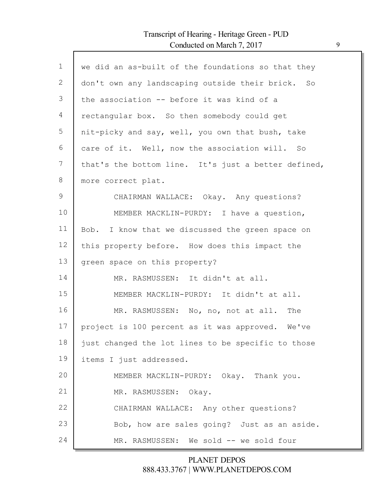$\Gamma$ 

| $\mathbf 1$ | we did an as-built of the foundations so that they  |
|-------------|-----------------------------------------------------|
| 2           | don't own any landscaping outside their brick. So   |
| 3           | the association -- before it was kind of a          |
| 4           | rectangular box. So then somebody could get         |
| 5           | nit-picky and say, well, you own that bush, take    |
| 6           | care of it. Well, now the association will. So      |
| 7           | that's the bottom line. It's just a better defined, |
| 8           | more correct plat.                                  |
| 9           | CHAIRMAN WALLACE: Okay. Any questions?              |
| 10          | MEMBER MACKLIN-PURDY: I have a question,            |
| 11          | Bob. I know that we discussed the green space on    |
| 12          | this property before. How does this impact the      |
| 13          | green space on this property?                       |
| 14          | MR. RASMUSSEN: It didn't at all.                    |
| 15          | MEMBER MACKLIN-PURDY: It didn't at all.             |
| 16          | MR. RASMUSSEN: No, no, not at all. The              |
| 17          | project is 100 percent as it was approved. We've    |
| 18          | just changed the lot lines to be specific to those  |
| 19          | items I just addressed.                             |
| 20          | MEMBER MACKLIN-PURDY: Okay. Thank you.              |
| 21          | MR. RASMUSSEN: Okay.                                |
| 22          | CHAIRMAN WALLACE: Any other questions?              |
| 23          | Bob, how are sales going? Just as an aside.         |
| 24          | MR. RASMUSSEN: We sold -- we sold four              |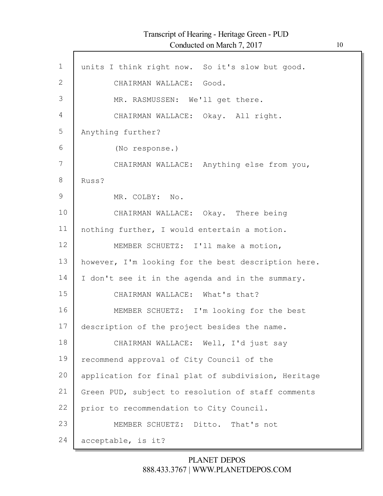| $\mathbf{1}$ | units I think right now. So it's slow but good.     |
|--------------|-----------------------------------------------------|
| 2            | CHAIRMAN WALLACE: Good.                             |
| 3            | MR. RASMUSSEN: We'll get there.                     |
| 4            | CHAIRMAN WALLACE: Okay. All right.                  |
| 5            | Anything further?                                   |
| 6            | (No response.)                                      |
| 7            | CHAIRMAN WALLACE: Anything else from you,           |
| 8            | Russ?                                               |
| $\mathsf 9$  | MR. COLBY: No.                                      |
| 10           | CHAIRMAN WALLACE: Okay. There being                 |
|              |                                                     |
| 11           | nothing further, I would entertain a motion.        |
| 12           | MEMBER SCHUETZ: I'll make a motion,                 |
| 13           | however, I'm looking for the best description here. |
| 14           | I don't see it in the agenda and in the summary.    |
| 15           | CHAIRMAN WALLACE: What's that?                      |
| 16           | MEMBER SCHUETZ: I'm looking for the best            |
| 17           | description of the project besides the name.        |
| 18           | CHAIRMAN WALLACE: Well, I'd just say                |
| 19           | recommend approval of City Council of the           |
| 20           | application for final plat of subdivision, Heritage |
| 21           | Green PUD, subject to resolution of staff comments  |
| 22           | prior to recommendation to City Council.            |
| 23           | MEMBER SCHUETZ: Ditto. That's not                   |
| 24           | acceptable, is it?                                  |
|              |                                                     |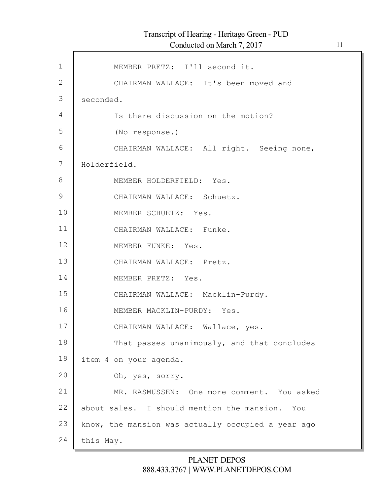| $\mathbf 1$   | MEMBER PRETZ: I'll second it.                      |
|---------------|----------------------------------------------------|
| $\mathbf{2}$  | CHAIRMAN WALLACE: It's been moved and              |
| $\Im$         | seconded.                                          |
| 4             | Is there discussion on the motion?                 |
| 5             | (No response.)                                     |
| 6             | CHAIRMAN WALLACE: All right. Seeing none,          |
| 7             | Holderfield.                                       |
| 8             | MEMBER HOLDERFIELD: Yes.                           |
| $\mathcal{G}$ | CHAIRMAN WALLACE: Schuetz.                         |
| 10            | MEMBER SCHUETZ: Yes.                               |
| 11            | CHAIRMAN WALLACE: Funke.                           |
| 12            | MEMBER FUNKE: Yes.                                 |
| 13            | CHAIRMAN WALLACE: Pretz.                           |
| 14            | MEMBER PRETZ: Yes.                                 |
| 15            | CHAIRMAN WALLACE: Macklin-Purdy.                   |
| 16            | MEMBER MACKLIN-PURDY: Yes.                         |
| 17            |                                                    |
| 18            | CHAIRMAN WALLACE: Wallace, yes.                    |
|               | That passes unanimously, and that concludes        |
| 19            | item 4 on your agenda.                             |
| 20            | Oh, yes, sorry.                                    |
| 21            | MR. RASMUSSEN: One more comment. You asked         |
| 22            | about sales. I should mention the mansion. You     |
| 23            | know, the mansion was actually occupied a year ago |
| 24            | this May.                                          |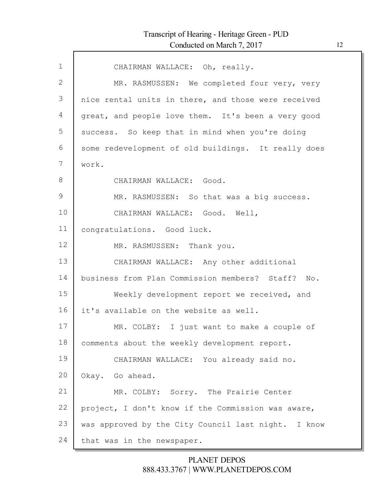| $\mathbf{1}$  | CHAIRMAN WALLACE: Oh, really.                       |
|---------------|-----------------------------------------------------|
| 2             | MR. RASMUSSEN: We completed four very, very         |
| 3             | nice rental units in there, and those were received |
| 4             | great, and people love them. It's been a very good  |
| 5             | success. So keep that in mind when you're doing     |
| 6             | some redevelopment of old buildings. It really does |
| 7             | work.                                               |
| 8             | CHAIRMAN WALLACE: Good.                             |
| $\mathcal{G}$ | MR. RASMUSSEN: So that was a big success.           |
| 10            | CHAIRMAN WALLACE: Good. Well,                       |
| 11            | congratulations. Good luck.                         |
| 12            | MR. RASMUSSEN: Thank you.                           |
| 13            | CHAIRMAN WALLACE: Any other additional              |
| 14            | business from Plan Commission members? Staff? No.   |
| 15            | Weekly development report we received, and          |
| 16            | it's available on the website as well.              |
| 17            | MR. COLBY: I just want to make a couple of          |
| 18            | comments about the weekly development report.       |
| 19            | CHAIRMAN WALLACE: You already said no.              |
| 20            | Okay. Go ahead.                                     |
| 21            | MR. COLBY: Sorry. The Prairie Center                |
| 22            | project, I don't know if the Commission was aware,  |
| 23            | was approved by the City Council last night. I know |
| 24            | that was in the newspaper.                          |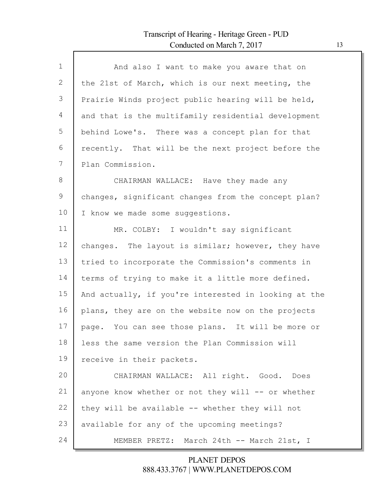Г

| $\mathbf 1$ | And also I want to make you aware that on            |
|-------------|------------------------------------------------------|
| 2           | the 21st of March, which is our next meeting, the    |
| 3           | Prairie Winds project public hearing will be held,   |
| 4           | and that is the multifamily residential development  |
| 5           | behind Lowe's. There was a concept plan for that     |
| 6           | recently. That will be the next project before the   |
| 7           | Plan Commission.                                     |
| $8\,$       | CHAIRMAN WALLACE: Have they made any                 |
| 9           | changes, significant changes from the concept plan?  |
| 10          | I know we made some suggestions.                     |
| 11          | MR. COLBY: I wouldn't say significant                |
| 12          | changes. The layout is similar; however, they have   |
| 13          | tried to incorporate the Commission's comments in    |
| 14          | terms of trying to make it a little more defined.    |
| 15          | And actually, if you're interested in looking at the |
| 16          | plans, they are on the website now on the projects   |
| 17          | page. You can see those plans. It will be more or    |
| 18          | less the same version the Plan Commission will       |
| 19          | receive in their packets.                            |
| 20          | CHAIRMAN WALLACE: All right. Good. Does              |
| 21          | anyone know whether or not they will -- or whether   |
| 22          | they will be available -- whether they will not      |
| 23          | available for any of the upcoming meetings?          |
| 24          | MEMBER PRETZ: March 24th -- March 21st, I            |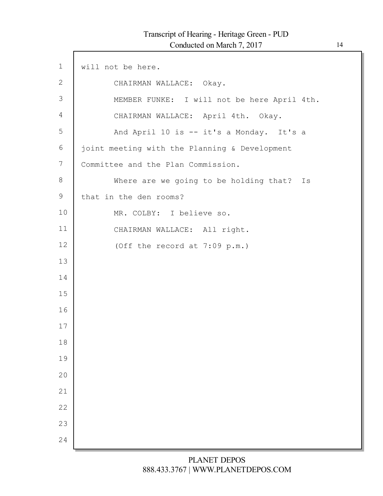Г

| $\mathbf 1$ | will not be here.                             |
|-------------|-----------------------------------------------|
| 2           | CHAIRMAN WALLACE: Okay.                       |
| 3           | MEMBER FUNKE: I will not be here April 4th.   |
| 4           | CHAIRMAN WALLACE: April 4th. Okay.            |
| 5           | And April 10 is -- it's a Monday. It's a      |
| 6           | joint meeting with the Planning & Development |
| 7           | Committee and the Plan Commission.            |
| 8           | Where are we going to be holding that?<br>Is  |
| 9           | that in the den rooms?                        |
| 10          | MR. COLBY: I believe so.                      |
| 11          | CHAIRMAN WALLACE: All right.                  |
| 12          | (Off the record at 7:09 p.m.)                 |
| 13          |                                               |
| 14          |                                               |
| 15          |                                               |
| 16          |                                               |
| 17          |                                               |
| 18          |                                               |
| 19          |                                               |
| 20          |                                               |
| 21          |                                               |
| 22          |                                               |
| 23          |                                               |
| 24          |                                               |